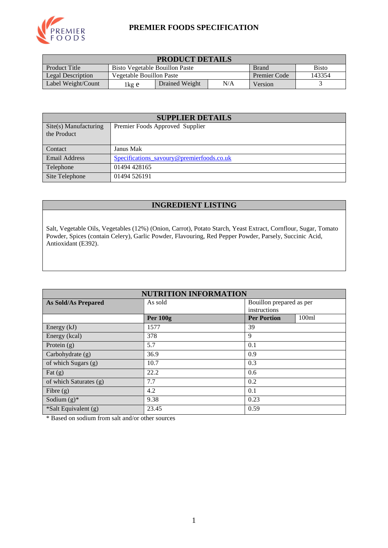

#### **PREMIER FOODS SPECIFICATION**

| <b>PRODUCT DETAILS</b>                                                          |                                           |  |                     |        |  |
|---------------------------------------------------------------------------------|-------------------------------------------|--|---------------------|--------|--|
| Product Title<br><b>Bisto</b><br>Bisto Vegetable Bouillon Paste<br><b>Brand</b> |                                           |  |                     |        |  |
| Legal Description                                                               | Vegetable Bouillon Paste                  |  | <b>Premier Code</b> | 143354 |  |
| Label Weight/Count                                                              | N/A<br>Drained Weight<br>Version<br>1kg e |  |                     |        |  |

| <b>SUPPLIER DETAILS</b>              |                                           |  |  |  |
|--------------------------------------|-------------------------------------------|--|--|--|
| Site(s) Manufacturing<br>the Product | Premier Foods Approved Supplier           |  |  |  |
| Contact                              | Janus Mak                                 |  |  |  |
| <b>Email Address</b>                 | Specifications_savoury@premierfoods.co.uk |  |  |  |
| Telephone                            | 01494 428165                              |  |  |  |
| Site Telephone                       | 01494 526191                              |  |  |  |

## **INGREDIENT LISTING**

Salt, Vegetable Oils, Vegetables (12%) (Onion, Carrot), Potato Starch, Yeast Extract, Cornflour, Sugar, Tomato Powder, Spices (contain Celery), Garlic Powder, Flavouring, Red Pepper Powder, Parsely, Succinic Acid, Antioxidant (E392).

| <b>NUTRITION INFORMATION</b> |                 |                          |                   |  |  |
|------------------------------|-----------------|--------------------------|-------------------|--|--|
| <b>As Sold/As Prepared</b>   | As sold         | Bouillon prepared as per |                   |  |  |
|                              |                 | instructions             |                   |  |  |
|                              | <b>Per 100g</b> | <b>Per Portion</b>       | 100 <sub>ml</sub> |  |  |
| Energy (kJ)                  | 1577            | 39                       |                   |  |  |
| Energy (kcal)                | 378             | 9                        |                   |  |  |
| Protein $(g)$                | 5.7             | 0.1                      |                   |  |  |
| Carbohydrate (g)             | 36.9            | 0.9                      |                   |  |  |
| of which Sugars (g)          | 10.7            | 0.3                      |                   |  |  |
| Fat $(g)$                    | 22.2            | 0.6                      |                   |  |  |
| of which Saturates (g)       | 7.7             | 0.2                      |                   |  |  |
| Fibre $(g)$                  | 4.2             | 0.1                      |                   |  |  |
| Sodium $(g)^*$               | 9.38            | 0.23                     |                   |  |  |
| *Salt Equivalent (g)         | 23.45           | 0.59                     |                   |  |  |

\* Based on sodium from salt and/or other sources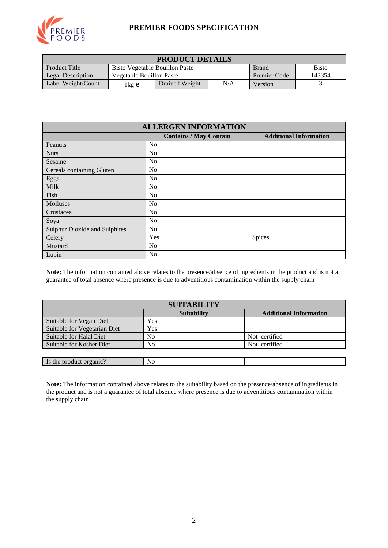

#### **PREMIER FOODS SPECIFICATION**

| <b>PRODUCT DETAILS</b>                                                                 |                          |                |              |         |  |
|----------------------------------------------------------------------------------------|--------------------------|----------------|--------------|---------|--|
| <b>Product Title</b><br><b>Bisto</b><br>Bisto Vegetable Bouillon Paste<br><b>Brand</b> |                          |                |              |         |  |
| Legal Description                                                                      | Vegetable Bouillon Paste |                | Premier Code | 143354  |  |
| Label Weight/Count                                                                     | 1kg e                    | Drained Weight | N/A          | Version |  |

| <b>ALLERGEN INFORMATION</b>          |                               |                               |  |  |  |
|--------------------------------------|-------------------------------|-------------------------------|--|--|--|
|                                      | <b>Contains / May Contain</b> | <b>Additional Information</b> |  |  |  |
| Peanuts                              | No                            |                               |  |  |  |
| <b>Nuts</b>                          | No                            |                               |  |  |  |
| Sesame                               | No                            |                               |  |  |  |
| Cereals containing Gluten            | N <sub>o</sub>                |                               |  |  |  |
| Eggs                                 | No                            |                               |  |  |  |
| Milk                                 | N <sub>0</sub>                |                               |  |  |  |
| Fish                                 | No                            |                               |  |  |  |
| Molluscs                             | No                            |                               |  |  |  |
| Crustacea                            | No                            |                               |  |  |  |
| Soya                                 | No                            |                               |  |  |  |
| <b>Sulphur Dioxide and Sulphites</b> | No                            |                               |  |  |  |
| Celery                               | Yes                           | Spices                        |  |  |  |
| Mustard                              | N <sub>o</sub>                |                               |  |  |  |
| Lupin                                | N <sub>0</sub>                |                               |  |  |  |

**Note:** The information contained above relates to the presence/absence of ingredients in the product and is not a guarantee of total absence where presence is due to adventitious contamination within the supply chain

| <b>SUITABILITY</b>           |                    |                               |  |  |  |
|------------------------------|--------------------|-------------------------------|--|--|--|
|                              | <b>Suitability</b> | <b>Additional Information</b> |  |  |  |
| Suitable for Vegan Diet      | Yes                |                               |  |  |  |
| Suitable for Vegetarian Diet | Yes                |                               |  |  |  |
| Suitable for Halal Diet      | No                 | Not certified                 |  |  |  |
| Suitable for Kosher Diet     | No                 | Not certified                 |  |  |  |
|                              |                    |                               |  |  |  |
| Is the product organic?      | No                 |                               |  |  |  |

**Note:** The information contained above relates to the suitability based on the presence/absence of ingredients in the product and is not a guarantee of total absence where presence is due to adventitious contamination within the supply chain